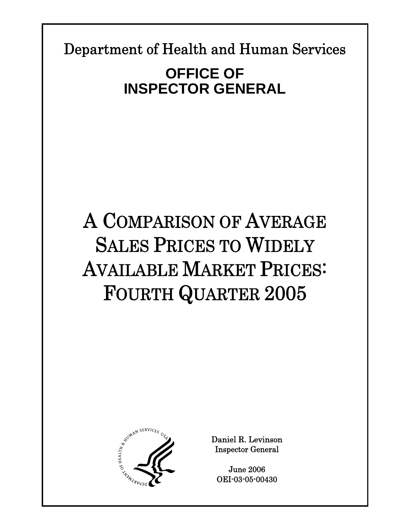Department of Health and Human Services

**Report Template Update = 04-30-05\_rev.13** 

# **OFFICE OF INSPECTOR GENERAL**

# A COMPARISON OF AVERAGE SALES PRICES TO WIDELY AVAILABLE MARKET PRICES: FOURTH QUARTER 2005



Daniel R. Levinson Inspector General

June 2006 OEI-03-05-00430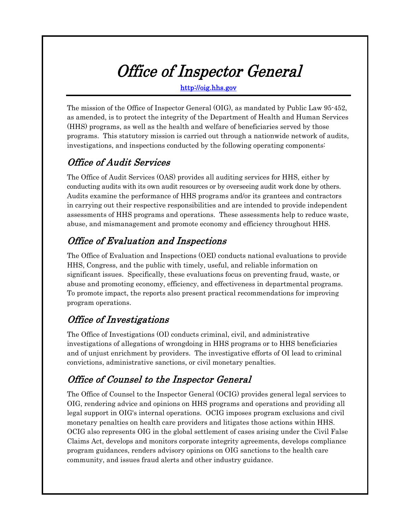# Office of Inspector General

http://oig.hhs.gov

The mission of the Office of Inspector General (OIG), as mandated by Public Law 95-452, as amended, is to protect the integrity of the Department of Health and Human Services (HHS) programs, as well as the health and welfare of beneficiaries served by those programs. This statutory mission is carried out through a nationwide network of audits, investigations, and inspections conducted by the following operating components:

# Office of Audit Services

The Office of Audit Services (OAS) provides all auditing services for HHS, either by conducting audits with its own audit resources or by overseeing audit work done by others. Audits examine the performance of HHS programs and/or its grantees and contractors in carrying out their respective responsibilities and are intended to provide independent assessments of HHS programs and operations. These assessments help to reduce waste, abuse, and mismanagement and promote economy and efficiency throughout HHS.

# Office of Evaluation and Inspections

The Office of Evaluation and Inspections (OEI) conducts national evaluations to provide HHS, Congress, and the public with timely, useful, and reliable information on significant issues. Specifically, these evaluations focus on preventing fraud, waste, or abuse and promoting economy, efficiency, and effectiveness in departmental programs. To promote impact, the reports also present practical recommendations for improving program operations.

# Office of Investigations

The Office of Investigations (OI) conducts criminal, civil, and administrative investigations of allegations of wrongdoing in HHS programs or to HHS beneficiaries and of unjust enrichment by providers. The investigative efforts of OI lead to criminal convictions, administrative sanctions, or civil monetary penalties.

# Office of Counsel to the Inspector General

The Office of Counsel to the Inspector General (OCIG) provides general legal services to OIG, rendering advice and opinions on HHS programs and operations and providing all legal support in OIG's internal operations. OCIG imposes program exclusions and civil monetary penalties on health care providers and litigates those actions within HHS. OCIG also represents OIG in the global settlement of cases arising under the Civil False Claims Act, develops and monitors corporate integrity agreements, develops compliance program guidances, renders advisory opinions on OIG sanctions to the health care community, and issues fraud alerts and other industry guidance.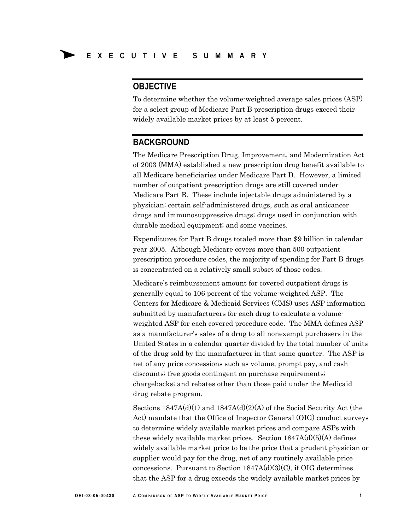# **OBJECTIVE**

To determine whether the volume-weighted average sales prices (ASP) for a select group of Medicare Part B prescription drugs exceed their widely available market prices by at least 5 percent.

## **BACKGROUND**

The Medicare Prescription Drug, Improvement, and Modernization Act of 2003 (MMA) established a new prescription drug benefit available to all Medicare beneficiaries under Medicare Part D. However, a limited number of outpatient prescription drugs are still covered under Medicare Part B. These include injectable drugs administered by a physician; certain self-administered drugs, such as oral anticancer drugs and immunosuppressive drugs; drugs used in conjunction with durable medical equipment; and some vaccines.

Expenditures for Part B drugs totaled more than \$9 billion in calendar year 2005. Although Medicare covers more than 500 outpatient prescription procedure codes, the majority of spending for Part B drugs is concentrated on a relatively small subset of those codes.

Medicare's reimbursement amount for covered outpatient drugs is generally equal to 106 percent of the volume-weighted ASP. The Centers for Medicare & Medicaid Services (CMS) uses ASP information submitted by manufacturers for each drug to calculate a volumeweighted ASP for each covered procedure code. The MMA defines ASP as a manufacturer's sales of a drug to all nonexempt purchasers in the United States in a calendar quarter divided by the total number of units of the drug sold by the manufacturer in that same quarter. The ASP is net of any price concessions such as volume, prompt pay, and cash discounts; free goods contingent on purchase requirements; chargebacks; and rebates other than those paid under the Medicaid drug rebate program.

Sections 1847A(d)(1) and 1847A(d)(2)(A) of the Social Security Act (the Act) mandate that the Office of Inspector General (OIG) conduct surveys to determine widely available market prices and compare ASPs with these widely available market prices. Section  $1847A(d)(5)(A)$  defines widely available market price to be the price that a prudent physician or supplier would pay for the drug, net of any routinely available price concessions. Pursuant to Section  $1847A(d)(3)(C)$ , if OIG determines that the ASP for a drug exceeds the widely available market prices by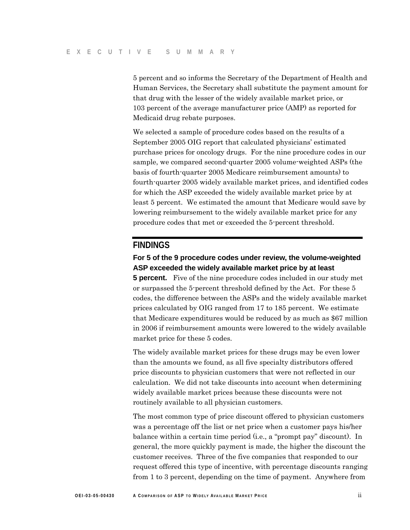5 percent and so informs the Secretary of the Department of Health and Human Services, the Secretary shall substitute the payment amount for that drug with the lesser of the widely available market price, or 103 percent of the average manufacturer price (AMP) as reported for Medicaid drug rebate purposes.

We selected a sample of procedure codes based on the results of a September 2005 OIG report that calculated physicians' estimated purchase prices for oncology drugs. For the nine procedure codes in our sample, we compared second-quarter 2005 volume-weighted ASPs (the basis of fourth-quarter 2005 Medicare reimbursement amounts) to fourth-quarter 2005 widely available market prices, and identified codes for which the ASP exceeded the widely available market price by at least 5 percent. We estimated the amount that Medicare would save by lowering reimbursement to the widely available market price for any procedure codes that met or exceeded the 5-percent threshold.

### **FINDINGS**

### **For 5 of the 9 procedure codes under review, the volume-weighted ASP exceeded the widely available market price by at least**

**5 percent.** Five of the nine procedure codes included in our study met or surpassed the 5-percent threshold defined by the Act. For these 5 codes, the difference between the ASPs and the widely available market prices calculated by OIG ranged from 17 to 185 percent. We estimate that Medicare expenditures would be reduced by as much as \$67 million in 2006 if reimbursement amounts were lowered to the widely available market price for these 5 codes.

The widely available market prices for these drugs may be even lower than the amounts we found, as all five specialty distributors offered price discounts to physician customers that were not reflected in our calculation. We did not take discounts into account when determining widely available market prices because these discounts were not routinely available to all physician customers.

The most common type of price discount offered to physician customers was a percentage off the list or net price when a customer pays his/her balance within a certain time period (i.e., a "prompt pay" discount). In general, the more quickly payment is made, the higher the discount the customer receives. Three of the five companies that responded to our request offered this type of incentive, with percentage discounts ranging from 1 to 3 percent, depending on the time of payment. Anywhere from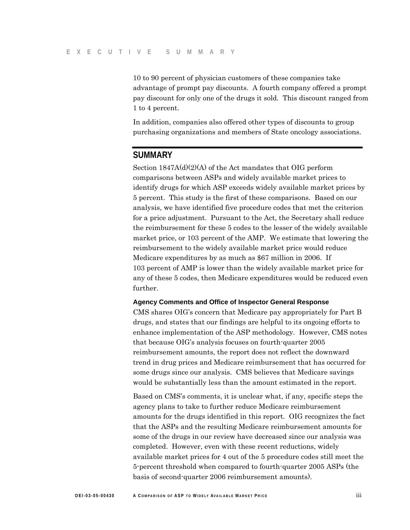10 to 90 percent of physician customers of these companies take advantage of prompt pay discounts. A fourth company offered a prompt pay discount for only one of the drugs it sold. This discount ranged from 1 to 4 percent.

In addition, companies also offered other types of discounts to group purchasing organizations and members of State oncology associations.

## **SUMMARY**

Section 1847A(d)(2)(A) of the Act mandates that OIG perform comparisons between ASPs and widely available market prices to identify drugs for which ASP exceeds widely available market prices by 5 percent. This study is the first of these comparisons. Based on our analysis, we have identified five procedure codes that met the criterion for a price adjustment. Pursuant to the Act, the Secretary shall reduce the reimbursement for these 5 codes to the lesser of the widely available market price, or 103 percent of the AMP. We estimate that lowering the reimbursement to the widely available market price would reduce Medicare expenditures by as much as \$67 million in 2006. If 103 percent of AMP is lower than the widely available market price for any of these 5 codes, then Medicare expenditures would be reduced even further.

#### **Agency Comments and Office of Inspector General Response**

CMS shares OIG's concern that Medicare pay appropriately for Part B drugs, and states that our findings are helpful to its ongoing efforts to enhance implementation of the ASP methodology. However, CMS notes that because OIG's analysis focuses on fourth-quarter 2005 reimbursement amounts, the report does not reflect the downward trend in drug prices and Medicare reimbursement that has occurred for some drugs since our analysis. CMS believes that Medicare savings would be substantially less than the amount estimated in the report.

Based on CMS's comments, it is unclear what, if any, specific steps the agency plans to take to further reduce Medicare reimbursement amounts for the drugs identified in this report. OIG recognizes the fact that the ASPs and the resulting Medicare reimbursement amounts for some of the drugs in our review have decreased since our analysis was completed. However, even with these recent reductions, widely available market prices for 4 out of the 5 procedure codes still meet the 5-percent threshold when compared to fourth-quarter 2005 ASPs (the basis of second-quarter 2006 reimbursement amounts).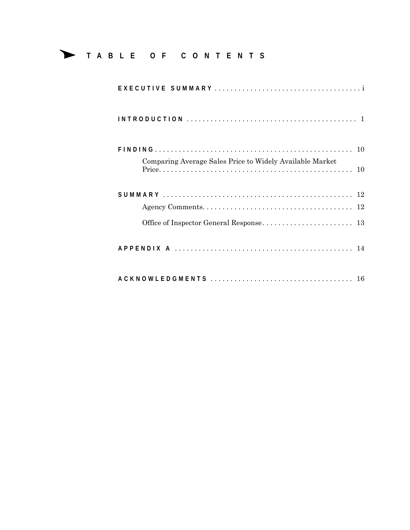# Δ **<sup>T</sup> ABLE OF CONTENTS**

| Comparing Average Sales Price to Widely Available Market |
|----------------------------------------------------------|
|                                                          |
|                                                          |
|                                                          |
|                                                          |
|                                                          |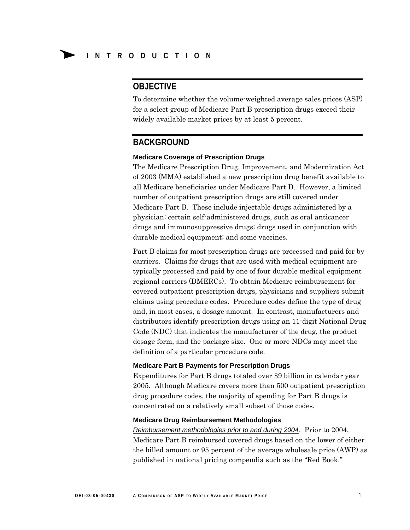# **OBJECTIVE**

To determine whether the volume-weighted average sales prices (ASP) for a select group of Medicare Part B prescription drugs exceed their widely available market prices by at least 5 percent.

## **BACKGROUND**

#### **Medicare Coverage of Prescription Drugs**

The Medicare Prescription Drug, Improvement, and Modernization Act of 2003 (MMA) established a new prescription drug benefit available to all Medicare beneficiaries under Medicare Part D. However, a limited number of outpatient prescription drugs are still covered under Medicare Part B. These include injectable drugs administered by a physician; certain self-administered drugs, such as oral anticancer drugs and immunosuppressive drugs; drugs used in conjunction with durable medical equipment; and some vaccines.

Part B claims for most prescription drugs are processed and paid for by carriers. Claims for drugs that are used with medical equipment are typically processed and paid by one of four durable medical equipment regional carriers (DMERCs). To obtain Medicare reimbursement for covered outpatient prescription drugs, physicians and suppliers submit claims using procedure codes. Procedure codes define the type of drug and, in most cases, a dosage amount. In contrast, manufacturers and distributors identify prescription drugs using an 11-digit National Drug Code (NDC) that indicates the manufacturer of the drug, the product dosage form, and the package size. One or more NDCs may meet the definition of a particular procedure code.

#### **Medicare Part B Payments for Prescription Drugs**

Expenditures for Part B drugs totaled over \$9 billion in calendar year 2005. Although Medicare covers more than 500 outpatient prescription drug procedure codes, the majority of spending for Part B drugs is concentrated on a relatively small subset of those codes.

#### **Medicare Drug Reimbursement Methodologies**

*Reimbursement methodologies prior to and during 2004*. Prior to 2004, Medicare Part B reimbursed covered drugs based on the lower of either the billed amount or 95 percent of the average wholesale price (AWP) as published in national pricing compendia such as the "Red Book."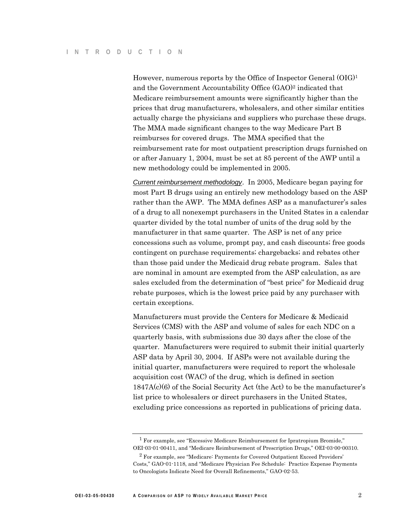However, numerous reports by the Office of Inspector General (OIG)1 and the Government Accountability Office (GAO)2 indicated that Medicare reimbursement amounts were significantly higher than the prices that drug manufacturers, wholesalers, and other similar entities actually charge the physicians and suppliers who purchase these drugs. The MMA made significant changes to the way Medicare Part B reimburses for covered drugs. The MMA specified that the reimbursement rate for most outpatient prescription drugs furnished on or after January 1, 2004, must be set at 85 percent of the AWP until a new methodology could be implemented in 2005.

*Current reimbursement methodology*. In 2005, Medicare began paying for most Part B drugs using an entirely new methodology based on the ASP rather than the AWP. The MMA defines ASP as a manufacturer's sales of a drug to all nonexempt purchasers in the United States in a calendar quarter divided by the total number of units of the drug sold by the manufacturer in that same quarter. The ASP is net of any price concessions such as volume, prompt pay, and cash discounts; free goods contingent on purchase requirements; chargebacks; and rebates other than those paid under the Medicaid drug rebate program. Sales that are nominal in amount are exempted from the ASP calculation, as are sales excluded from the determination of "best price" for Medicaid drug rebate purposes, which is the lowest price paid by any purchaser with certain exceptions.

Manufacturers must provide the Centers for Medicare & Medicaid Services (CMS) with the ASP and volume of sales for each NDC on a quarterly basis, with submissions due 30 days after the close of the quarter. Manufacturers were required to submit their initial quarterly ASP data by April 30, 2004. If ASPs were not available during the initial quarter, manufacturers were required to report the wholesale acquisition cost (WAC) of the drug, which is defined in section 1847A(c)(6) of the Social Security Act (the Act) to be the manufacturer's list price to wholesalers or direct purchasers in the United States, excluding price concessions as reported in publications of pricing data.

<sup>1</sup> For example, see "Excessive Medicare Reimbursement for Ipratropium Bromide," OEI-03-01-00411, and "Medicare Reimbursement of Prescription Drugs," OEI-03-00-00310.

<sup>2</sup> For example, see "Medicare: Payments for Covered Outpatient Exceed Providers' Costs," GAO-01-1118, and "Medicare Physician Fee Schedule: Practice Expense Payments to Oncologists Indicate Need for Overall Refinements," GAO-02-53.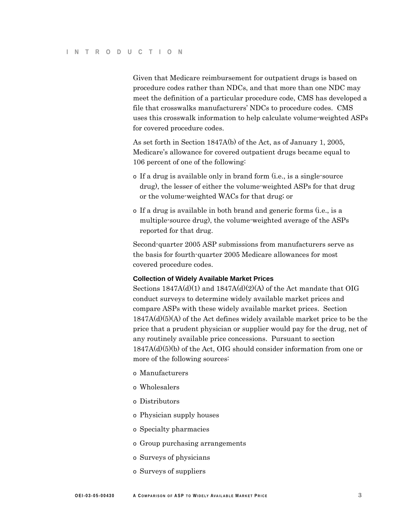Given that Medicare reimbursement for outpatient drugs is based on procedure codes rather than NDCs, and that more than one NDC may meet the definition of a particular procedure code, CMS has developed a file that crosswalks manufacturers' NDCs to procedure codes. CMS uses this crosswalk information to help calculate volume-weighted ASPs for covered procedure codes.

As set forth in Section 1847A(b) of the Act, as of January 1, 2005, Medicare's allowance for covered outpatient drugs became equal to 106 percent of one of the following:

- o If a drug is available only in brand form (i.e., is a single-source drug), the lesser of either the volume-weighted ASPs for that drug or the volume-weighted WACs for that drug; or
- o If a drug is available in both brand and generic forms (i.e., is a multiple-source drug), the volume-weighted average of the ASPs reported for that drug.

Second-quarter 2005 ASP submissions from manufacturers serve as the basis for fourth-quarter 2005 Medicare allowances for most covered procedure codes.

#### **Collection of Widely Available Market Prices**

Sections  $1847A(d)(1)$  and  $1847A(d)(2)(A)$  of the Act mandate that OIG conduct surveys to determine widely available market prices and compare ASPs with these widely available market prices. Section  $1847A(d)(5)(A)$  of the Act defines widely available market price to be the price that a prudent physician or supplier would pay for the drug, net of any routinely available price concessions. Pursuant to section  $1847A(d)(5)(b)$  of the Act, OIG should consider information from one or more of the following sources:

- o Manufacturers
- o Wholesalers
- o Distributors
- o Physician supply houses
- o Specialty pharmacies
- o Group purchasing arrangements
- o Surveys of physicians
- o Surveys of suppliers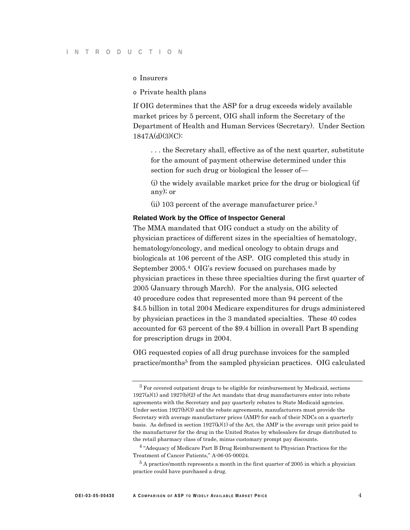o Insurers

o Private health plans

If OIG determines that the ASP for a drug exceeds widely available market prices by 5 percent, OIG shall inform the Secretary of the Department of Health and Human Services (Secretary). Under Section 1847A(d)(3)(C):

. . . the Secretary shall, effective as of the next quarter, substitute for the amount of payment otherwise determined under this section for such drug or biological the lesser of—

(i) the widely available market price for the drug or biological (if any); or

(ii) 103 percent of the average manufacturer price.3

#### **Related Work by the Office of Inspector General**

The MMA mandated that OIG conduct a study on the ability of physician practices of different sizes in the specialties of hematology, hematology/oncology, and medical oncology to obtain drugs and biologicals at 106 percent of the ASP. OIG completed this study in September 2005.4 OIG's review focused on purchases made by physician practices in these three specialties during the first quarter of 2005 (January through March). For the analysis, OIG selected 40 procedure codes that represented more than 94 percent of the \$4.5 billion in total 2004 Medicare expenditures for drugs administered by physician practices in the 3 mandated specialties. These 40 codes accounted for 63 percent of the \$9.4 billion in overall Part B spending for prescription drugs in 2004.

OIG requested copies of all drug purchase invoices for the sampled practice/months<sup>5</sup> from the sampled physician practices. OIG calculated

<sup>3</sup> For covered outpatient drugs to be eligible for reimbursement by Medicaid, sections  $1927(a)(1)$  and  $1927(b)(2)$  of the Act mandate that drug manufacturers enter into rebate agreements with the Secretary and pay quarterly rebates to State Medicaid agencies. Under section 1927(b)(3) and the rebate agreements, manufacturers must provide the Secretary with average manufacturer prices (AMP) for each of their NDCs on a quarterly basis. As defined in section  $1927(k)(1)$  of the Act, the AMP is the average unit price paid to the manufacturer for the drug in the United States by wholesalers for drugs distributed to the retail pharmacy class of trade, minus customary prompt pay discounts.

<sup>4 &</sup>quot;Adequacy of Medicare Part B Drug Reimbursement to Physician Practices for the Treatment of Cancer Patients," A-06-05-00024.

<sup>&</sup>lt;sup>5</sup> A practice/month represents a month in the first quarter of 2005 in which a physician practice could have purchased a drug.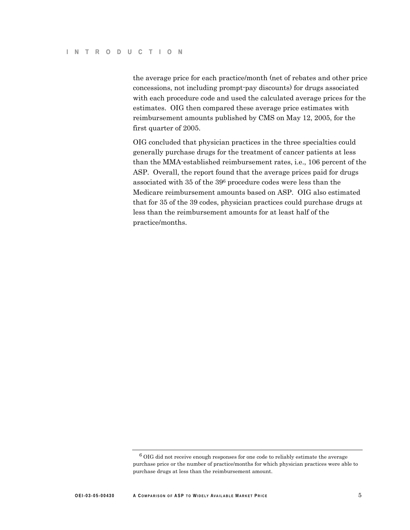the average price for each practice/month (net of rebates and other price concessions, not including prompt-pay discounts) for drugs associated with each procedure code and used the calculated average prices for the estimates. OIG then compared these average price estimates with reimbursement amounts published by CMS on May 12, 2005, for the first quarter of 2005.

OIG concluded that physician practices in the three specialties could generally purchase drugs for the treatment of cancer patients at less than the MMA-established reimbursement rates, i.e., 106 percent of the ASP. Overall, the report found that the average prices paid for drugs associated with 35 of the 396 procedure codes were less than the Medicare reimbursement amounts based on ASP. OIG also estimated that for 35 of the 39 codes, physician practices could purchase drugs at less than the reimbursement amounts for at least half of the practice/months.

 $6$  OIG did not receive enough responses for one code to reliably estimate the average purchase price or the number of practice/months for which physician practices were able to purchase drugs at less than the reimbursement amount.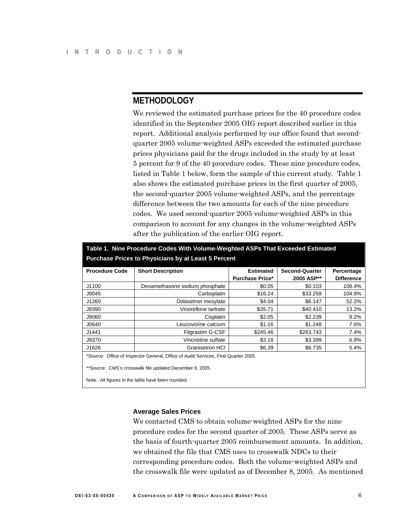# **METHODOLOGY**

We reviewed the estimated purchase prices for the 40 procedure codes identified in the September 2005 OIG report described earlier in this report. Additional analysis performed by our office found that secondquarter 2005 volume-weighted ASPs exceeded the estimated purchase prices physicians paid for the drugs included in the study by at least 5 percent for 9 of the 40 procedure codes. These nine procedure codes, listed in Table 1 below, form the sample of this current study. Table 1 also shows the estimated purchase prices in the first quarter of 2005, the second-quarter 2005 volume-weighted ASPs, and the percentage difference between the two amounts for each of the nine procedure codes. We used second-quarter 2005 volume-weighted ASPs in this comparison to account for any changes in the volume-weighted ASPs after the publication of the earlier OIG report.

|                       | Table 1. Nine Procedure Codes With Volume-Weighted ASPs That Exceeded Estimated                               |                        |                       |                   |
|-----------------------|---------------------------------------------------------------------------------------------------------------|------------------------|-----------------------|-------------------|
|                       | <b>Purchase Prices to Physicians by at Least 5 Percent</b>                                                    |                        |                       |                   |
| <b>Procedure Code</b> | <b>Short Description</b>                                                                                      | <b>Estimated</b>       | <b>Second-Quarter</b> | Percentage        |
|                       |                                                                                                               | <b>Purchase Price*</b> | 2005 ASP**            | <b>Difference</b> |
| J1100                 | Dexamethasone sodium phosphate                                                                                | \$0.05                 | \$0.103               | 106.4%            |
| J9045                 | Carboplatin                                                                                                   | \$16.24                | \$33.259              | 104.8%            |
| J1260                 | Dolasetron mesylate                                                                                           | \$4.04                 | \$6.147               | 52.2%             |
| J9390                 | Vinorelbine tartrate                                                                                          | \$35.71                | \$40.410              | 13.2%             |
| J9060                 | Cisplatin                                                                                                     | \$2.05                 | \$2.239               | 9.2%              |
| J0640                 | Leucovorine calcium                                                                                           | \$1.16                 | \$1.248               | 7.6%              |
| J1441                 | <b>Filgrastim G-CSF</b>                                                                                       | \$245.46               | \$263.743             | 7.4%              |
| J9370                 | Vincristine sulfate                                                                                           | \$3.18                 | \$3.399               | 6.9%              |
| J1626                 | <b>Granisetron HCI</b>                                                                                        | \$6.39                 | \$6.735               | 5.4%              |
|                       | *Source: Office of Inspector General, Office of Audit Services, First Quarter 2005.                           |                        |                       |                   |
|                       | **Source: CMS's crosswalk file updated December 8, 2005.<br>Note: All figures in the table have been rounded. |                        |                       |                   |

#### **Average Sales Prices**

We contacted CMS to obtain volume-weighted ASPs for the nine procedure codes for the second quarter of 2005. These ASPs serve as the basis of fourth-quarter 2005 reimbursement amounts. In addition, we obtained the file that CMS uses to crosswalk NDCs to their corresponding procedure codes. Both the volume-weighted ASPs and the crosswalk file were updated as of December 8, 2005. As mentioned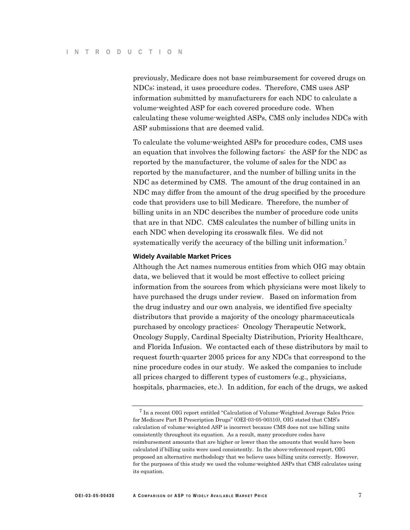previously, Medicare does not base reimbursement for covered drugs on NDCs; instead, it uses procedure codes. Therefore, CMS uses ASP information submitted by manufacturers for each NDC to calculate a volume-weighted ASP for each covered procedure code. When calculating these volume-weighted ASPs, CMS only includes NDCs with ASP submissions that are deemed valid.

To calculate the volume-weighted ASPs for procedure codes, CMS uses an equation that involves the following factors: the ASP for the NDC as reported by the manufacturer, the volume of sales for the NDC as reported by the manufacturer, and the number of billing units in the NDC as determined by CMS. The amount of the drug contained in an NDC may differ from the amount of the drug specified by the procedure code that providers use to bill Medicare. Therefore, the number of billing units in an NDC describes the number of procedure code units that are in that NDC. CMS calculates the number of billing units in each NDC when developing its crosswalk files. We did not systematically verify the accuracy of the billing unit information.7

#### **Widely Available Market Prices**

Although the Act names numerous entities from which OIG may obtain data, we believed that it would be most effective to collect pricing information from the sources from which physicians were most likely to have purchased the drugs under review. Based on information from the drug industry and our own analysis, we identified five specialty distributors that provide a majority of the oncology pharmaceuticals purchased by oncology practices: Oncology Therapeutic Network, Oncology Supply, Cardinal Specialty Distribution, Priority Healthcare, and Florida Infusion. We contacted each of these distributors by mail to request fourth-quarter 2005 prices for any NDCs that correspond to the nine procedure codes in our study. We asked the companies to include all prices charged to different types of customers (e.g., physicians, hospitals, pharmacies, etc.). In addition, for each of the drugs, we asked

<sup>7</sup> In a recent OIG report entitled "Calculation of Volume-Weighted Average Sales Price for Medicare Part B Prescription Drugs" (OEI-03-05-00310), OIG stated that CMS's calculation of volume-weighted ASP is incorrect because CMS does not use billing units consistently throughout its equation. As a result, many procedure codes have reimbursement amounts that are higher or lower than the amounts that would have been calculated if billing units were used consistently. In the above-referenced report, OIG proposed an alternative methodology that we believe uses billing units correctly. However, for the purposes of this study we used the volume-weighted ASPs that CMS calculates using its equation.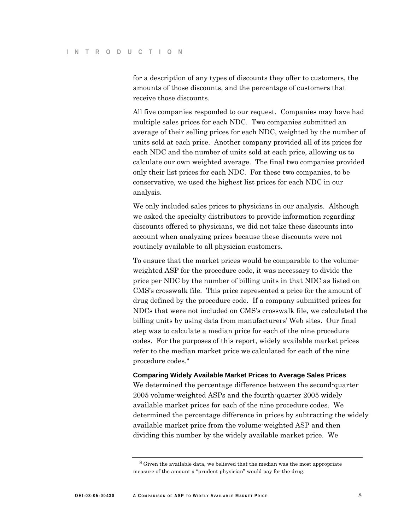for a description of any types of discounts they offer to customers, the amounts of those discounts, and the percentage of customers that receive those discounts.

All five companies responded to our request. Companies may have had multiple sales prices for each NDC. Two companies submitted an average of their selling prices for each NDC, weighted by the number of units sold at each price. Another company provided all of its prices for each NDC and the number of units sold at each price, allowing us to calculate our own weighted average. The final two companies provided only their list prices for each NDC. For these two companies, to be conservative, we used the highest list prices for each NDC in our analysis.

We only included sales prices to physicians in our analysis. Although we asked the specialty distributors to provide information regarding discounts offered to physicians, we did not take these discounts into account when analyzing prices because these discounts were not routinely available to all physician customers.

To ensure that the market prices would be comparable to the volumeweighted ASP for the procedure code, it was necessary to divide the price per NDC by the number of billing units in that NDC as listed on CMS's crosswalk file. This price represented a price for the amount of drug defined by the procedure code. If a company submitted prices for NDCs that were not included on CMS's crosswalk file, we calculated the billing units by using data from manufacturers' Web sites. Our final step was to calculate a median price for each of the nine procedure codes. For the purposes of this report, widely available market prices refer to the median market price we calculated for each of the nine procedure codes.8

#### **Comparing Widely Available Market Prices to Average Sales Prices**

We determined the percentage difference between the second-quarter 2005 volume-weighted ASPs and the fourth-quarter 2005 widely available market prices for each of the nine procedure codes. We determined the percentage difference in prices by subtracting the widely available market price from the volume-weighted ASP and then dividing this number by the widely available market price. We

<sup>&</sup>lt;sup>8</sup> Given the available data, we believed that the median was the most appropriate measure of the amount a "prudent physician" would pay for the drug.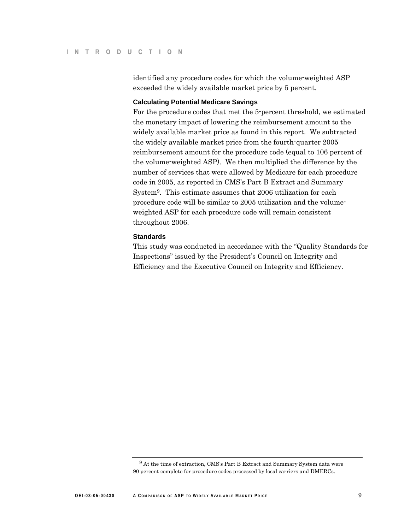identified any procedure codes for which the volume-weighted ASP exceeded the widely available market price by 5 percent.

#### **Calculating Potential Medicare Savings**

For the procedure codes that met the 5-percent threshold, we estimated the monetary impact of lowering the reimbursement amount to the widely available market price as found in this report. We subtracted the widely available market price from the fourth-quarter 2005 reimbursement amount for the procedure code (equal to 106 percent of the volume-weighted ASP). We then multiplied the difference by the number of services that were allowed by Medicare for each procedure code in 2005, as reported in CMS's Part B Extract and Summary System9. This estimate assumes that 2006 utilization for each procedure code will be similar to 2005 utilization and the volumeweighted ASP for each procedure code will remain consistent throughout 2006.

#### **Standards**

This study was conducted in accordance with the "Quality Standards for Inspections" issued by the President's Council on Integrity and Efficiency and the Executive Council on Integrity and Efficiency.

<sup>9</sup> At the time of extraction, CMS's Part B Extract and Summary System data were 90 percent complete for procedure codes processed by local carriers and DMERCs.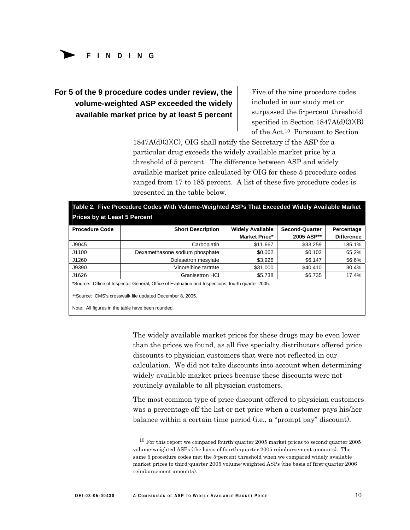

# **For 5 of the 9 procedure codes under review, the volume-weighted ASP exceeded the widely available market price by at least 5 percent**

Five of the nine procedure codes included in our study met or surpassed the 5-percent threshold specified in Section 1847A(d)(3)(B) of the Act.10 Pursuant to Section

 $1847A(d)(3)(C)$ , OIG shall notify the Secretary if the ASP for a particular drug exceeds the widely available market price by a threshold of 5 percent. The difference between ASP and widely available market price calculated by OIG for these 5 procedure codes ranged from 17 to 185 percent. A list of these five procedure codes is presented in the table below.

| <b>Market Price*</b><br>2005 ASP**<br>J9045<br>\$33.259<br>Carboplatin<br>\$11.667<br>J1100<br>\$0.062<br>\$0.103<br>Dexamethasone sodium phosphate<br>J1260<br>\$3.926<br>\$6.147<br>Dolasetron mesylate | <b>Difference</b><br>185.1% |
|-----------------------------------------------------------------------------------------------------------------------------------------------------------------------------------------------------------|-----------------------------|
|                                                                                                                                                                                                           |                             |
|                                                                                                                                                                                                           |                             |
|                                                                                                                                                                                                           | 65.2%                       |
|                                                                                                                                                                                                           | 56.6%                       |
| J9390<br>Vinorelbine tartrate<br>\$31,000<br>\$40.410                                                                                                                                                     | 30.4%                       |
| J1626<br>\$5.738<br>\$6.735<br><b>Granisetron HCI</b>                                                                                                                                                     | 17.4%                       |
| *Source: Office of Inspector General, Office of Evaluation and Inspections, fourth quarter 2005.                                                                                                          |                             |

The widely available market prices for these drugs may be even lower than the prices we found, as all five specialty distributors offered price discounts to physician customers that were not reflected in our calculation. We did not take discounts into account when determining widely available market prices because these discounts were not routinely available to all physician customers.

The most common type of price discount offered to physician customers was a percentage off the list or net price when a customer pays his/her balance within a certain time period (i.e., a "prompt pay" discount).

 $10$  For this report we compared fourth-quarter 2005 market prices to second-quarter 2005 volume-weighted ASPs (the basis of fourth-quarter 2005 reimbursement amounts). The same 5 procedure codes met the 5-percent threshold when we compared widely available market prices to third-quarter 2005 volume-weighted ASPs (the basis of first-quarter 2006 reimbursement amounts).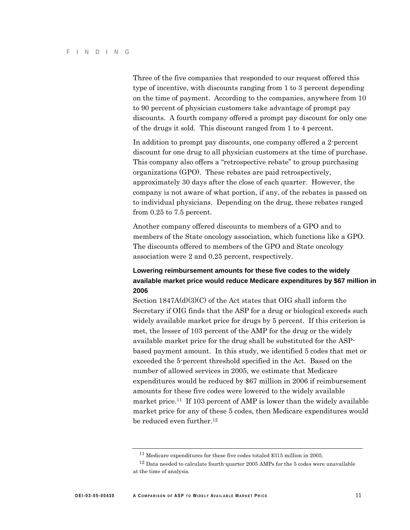Three of the five companies that responded to our request offered this type of incentive, with discounts ranging from 1 to 3 percent depending on the time of payment. According to the companies, anywhere from 10 to 90 percent of physician customers take advantage of prompt pay discounts. A fourth company offered a prompt pay discount for only one of the drugs it sold. This discount ranged from 1 to 4 percent.

In addition to prompt pay discounts, one company offered a 2-percent discount for one drug to all physician customers at the time of purchase. This company also offers a "retrospective rebate" to group purchasing organizations (GPO). These rebates are paid retrospectively, approximately 30 days after the close of each quarter. However, the company is not aware of what portion, if any, of the rebates is passed on to individual physicians. Depending on the drug, these rebates ranged from 0.25 to 7.5 percent.

Another company offered discounts to members of a GPO and to members of the State oncology association, which functions like a GPO. The discounts offered to members of the GPO and State oncology association were 2 and 0.25 percent, respectively.

## **Lowering reimbursement amounts for these five codes to the widely available market price would reduce Medicare expenditures by \$67 million in 2006**

Section 1847A(d)(3)(C) of the Act states that OIG shall inform the Secretary if OIG finds that the ASP for a drug or biological exceeds such widely available market price for drugs by 5 percent. If this criterion is met, the lesser of 103 percent of the AMP for the drug or the widely available market price for the drug shall be substituted for the ASPbased payment amount. In this study, we identified 5 codes that met or exceeded the 5-percent threshold specified in the Act. Based on the number of allowed services in 2005, we estimate that Medicare expenditures would be reduced by \$67 million in 2006 if reimbursement amounts for these five codes were lowered to the widely available market price.11 If 103 percent of AMP is lower than the widely available market price for any of these 5 codes, then Medicare expenditures would be reduced even further.12

<sup>11</sup> Medicare expenditures for these five codes totaled \$315 million in 2005.

<sup>&</sup>lt;sup>12</sup> Data needed to calculate fourth-quarter 2005 AMPs for the 5 codes were unavailable at the time of analysis.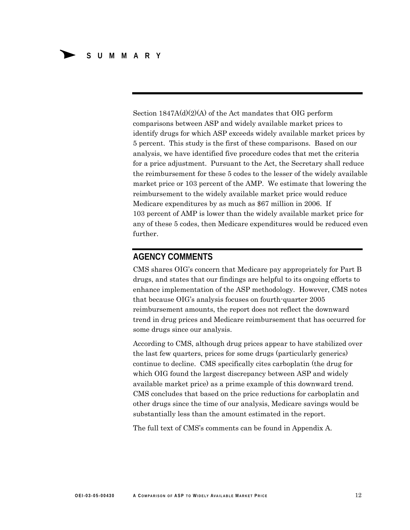Section 1847A(d)(2)(A) of the Act mandates that OIG perform comparisons between ASP and widely available market prices to identify drugs for which ASP exceeds widely available market prices by 5 percent. This study is the first of these comparisons. Based on our analysis, we have identified five procedure codes that met the criteria for a price adjustment. Pursuant to the Act, the Secretary shall reduce the reimbursement for these 5 codes to the lesser of the widely available market price or 103 percent of the AMP. We estimate that lowering the reimbursement to the widely available market price would reduce Medicare expenditures by as much as \$67 million in 2006. If 103 percent of AMP is lower than the widely available market price for any of these 5 codes, then Medicare expenditures would be reduced even further.

# **AGENCY COMMENTS**

CMS shares OIG's concern that Medicare pay appropriately for Part B drugs, and states that our findings are helpful to its ongoing efforts to enhance implementation of the ASP methodology. However, CMS notes that because OIG's analysis focuses on fourth-quarter 2005 reimbursement amounts, the report does not reflect the downward trend in drug prices and Medicare reimbursement that has occurred for some drugs since our analysis.

According to CMS, although drug prices appear to have stabilized over the last few quarters, prices for some drugs (particularly generics) continue to decline. CMS specifically cites carboplatin (the drug for which OIG found the largest discrepancy between ASP and widely available market price) as a prime example of this downward trend. CMS concludes that based on the price reductions for carboplatin and other drugs since the time of our analysis, Medicare savings would be substantially less than the amount estimated in the report.

The full text of CMS's comments can be found in Appendix A.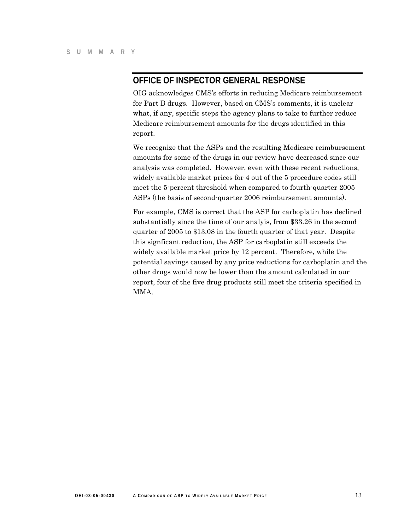# **OFFICE OF INSPECTOR GENERAL RESPONSE**

OIG acknowledges CMS's efforts in reducing Medicare reimbursement for Part B drugs. However, based on CMS's comments, it is unclear what, if any, specific steps the agency plans to take to further reduce Medicare reimbursement amounts for the drugs identified in this report.

We recognize that the ASPs and the resulting Medicare reimbursement amounts for some of the drugs in our review have decreased since our analysis was completed. However, even with these recent reductions, widely available market prices for 4 out of the 5 procedure codes still meet the 5-percent threshold when compared to fourth-quarter 2005 ASPs (the basis of second-quarter 2006 reimbursement amounts).

For example, CMS is correct that the ASP for carboplatin has declined substantially since the time of our analyis, from \$33.26 in the second quarter of 2005 to \$13.08 in the fourth quarter of that year. Despite this signficant reduction, the ASP for carboplatin still exceeds the widely available market price by 12 percent. Therefore, while the potential savings caused by any price reductions for carboplatin and the other drugs would now be lower than the amount calculated in our report, four of the five drug products still meet the criteria specified in MMA.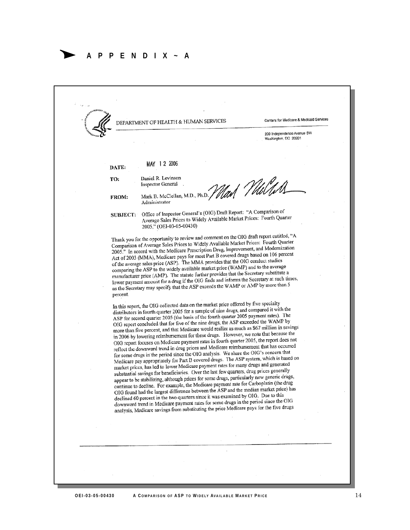## Δ **APPENDIX~A**

DEPARTMENT OF HEALTH & HUMAN SERVICES Conters for Medicare & Medicaid Services 200 Independence Avenue SW Washington, DC 20201 MAY 12 2006. DATE: Daniel R. Levinson TO: Nad *V* Wild **Inspector General** Mark B. McClellan, M.D., Ph.D. FROM: Administrator Office of Inspector General's (OIG) Draft Report: "A Comparison of **SUBJECT:** Office of Inspector General's (OR) Draft Report. The Company<br>Average Sales Prices to Widely Available Market Prices: Fourth Quarter 2005," (OEI-03-05-00430) Thank you for the opportunity to review and comment on the OIG draft report entitled, "A Thank you for the opportunity to review and comment on the OSO discrete.<br>Comparison of Average Sales Prices to Widely Available Market Prices: Fourth Quarter Comparison of Average Sales Prices to Widely Avanadic Market Figure 1.<br>2005." In accord with the Medicare Prescription Drug, Improvement, and Modernization 2005." In accord with the Medicare Prescription Drug, improvement, and Modernical<br>Act of 2003 (MMA), Medicare pays for most Part B covered drugs based on 106 precent<br>Act of 2003 (MMA), Medicare pays for MAA repaided that t Act of 2003 (MMA), Medicare pays for hiost rate b covided the Dictionary<br>of the average sales price (ASP). The MMA provides that the OIG conduct studies of the average sales price (ASP). The MMA provides that the Org contact states<br>comparing the ASP to the widely available market price (WAMP) and to the average comparing the ASP to the widely available market price (WAMP) and to the average<br>manufacturer price (AMP). The statute further provides that the Secretary substitute a manufacturer price (AMP). The statute further provides that the Secretary substitute a<br>lower payment amount for a drug if the OIG finds and informs the Secretary at such times, lower payment amount for a drug if the OIO finds and mornis are occured, and as the Secretary may specify that the ASP exceeds the WAMP or AMP by more than 5 percent. In this report, the OIG collected data on the market price offered by five specialty In this report, the OIG conected data on the market price offered by the presential distributors in fourth quarter 2005 for a sample of nine drugs, and compared it with the ASP for second quarter 2005 to a sample of life things, and completed<br>ASP for second quarter 2005 (the basis of the fourth quarter 2005 payment rates). The ASP for second quarter 2005 (the basis of the joint quarter 2005 perceded the WAMP by<br>OIG report concluded that for five of the nine drugs, the ASP exceeded the WAMP by OIG report concluded that Medicare would realize as much as \$67 million in savings<br>more than five percent, and that Medicare would realize as much as \$67 million in savings in 2006 by lowering reimbursement for these drugs. However, we note that because the<br>in 2006 by lowering reimbursement for these drugs. However, we note that because the in 2006 by lowering reimbursement for these drugs. However, we note that because and<br>OIG report focuses on Medicare payment rates in fourth quarter 2005, the report does not OIG report focuses on Medicare payment rates in found quarter zood, the representation<br>reflect the downward trend in drug prices and Medicare reimbursement that has occurred<br> $\sum_{n=1}^{\infty}$ for some drugs in the period since the OIG analysis. We share the OIG's concern that Tor some drugs in the period since the OIO analysis. We share the OIO specific the SAS and Medicare pay appropriately for Part B covered drugs. The ASP system, which is based on Medicare pay appropriately for Fait B covered drugs. The FIST systems<br>market prices, has led to lower Medicare payment rates for many drugs and generated substantial savings for beneficiaries. Over the last few quarters, drug prices generally substantial savings for beneficiaries. Over the last few quarter, and previously per generic drugs,<br>appear to be stabilizing, although prices for some drugs, particularly new generic drugs, appear to be stabilizing, although prices for some drugs, particularly liew generic drugs,<br>continue to decline. For example, the Medicare payment rate for Carboplatin (the drug COLOR found had the largest difference between the ASP and the median market price) has declined 60 percent in the two quarters since it was examined by OIG. Due to this declined 60 percent in the two quarters since it was examined by Security<br>downward trend in Medicare payment rates for some drugs in the period since the OIG downward trend in Medicare payment rates for some drugs in the person and<br>analysis, Medicare savings from substituting the price Medicare pays for the five drugs

 **OE I-03-05-00 430 A C OMPA <sup>R</sup> <sup>I</sup> <sup>S</sup> <sup>O</sup> N OF ASP TO WI D E LY AVA <sup>I</sup> <sup>L</sup> ABLE MARKET P R I CE** 14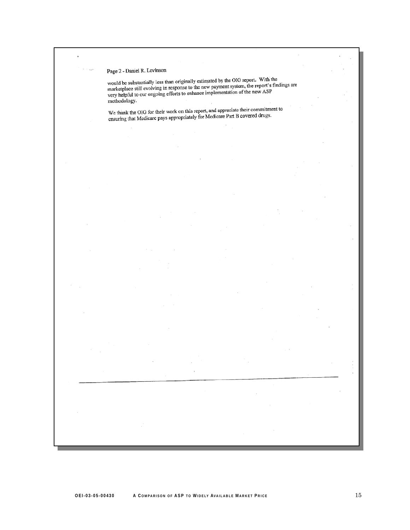Page 2 - Daniel R. Levinson

**APP E N D I X ~A** 

Page 2 - Damer K. Levinson<br>would be substantially less than originally estimated by the OIG report. With the<br>marketplace still evolving in response to the new payment system, the report's findings are<br>very helpful to our o

We thank the OIG for their work on this report, and appreciate their commitment to ensuring that Medicare pays appropriately for Medicare Part B covered drugs.